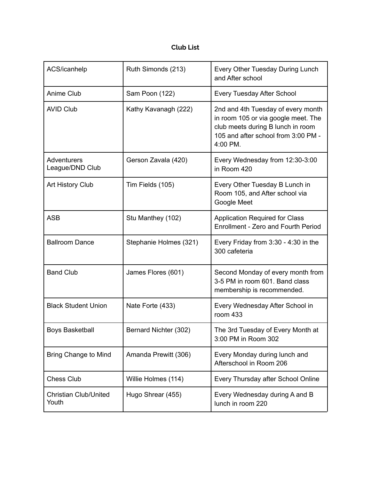## **Club List**

| ACS/icanhelp                          | Ruth Simonds (213)     | Every Other Tuesday During Lunch<br>and After school                                                                                                              |
|---------------------------------------|------------------------|-------------------------------------------------------------------------------------------------------------------------------------------------------------------|
| Anime Club                            | Sam Poon (122)         | <b>Every Tuesday After School</b>                                                                                                                                 |
| <b>AVID Club</b>                      | Kathy Kavanagh (222)   | 2nd and 4th Tuesday of every month<br>in room 105 or via google meet. The<br>club meets during B lunch in room<br>105 and after school from 3:00 PM -<br>4:00 PM. |
| Adventurers<br>League/DND Club        | Gerson Zavala (420)    | Every Wednesday from 12:30-3:00<br>in Room 420                                                                                                                    |
| Art History Club                      | Tim Fields (105)       | Every Other Tuesday B Lunch in<br>Room 105, and After school via<br>Google Meet                                                                                   |
| <b>ASB</b>                            | Stu Manthey (102)      | <b>Application Required for Class</b><br>Enrollment - Zero and Fourth Period                                                                                      |
| <b>Ballroom Dance</b>                 | Stephanie Holmes (321) | Every Friday from $3:30 - 4:30$ in the<br>300 cafeteria                                                                                                           |
| <b>Band Club</b>                      | James Flores (601)     | Second Monday of every month from<br>3-5 PM in room 601. Band class<br>membership is recommended.                                                                 |
| <b>Black Student Union</b>            | Nate Forte (433)       | Every Wednesday After School in<br>room 433                                                                                                                       |
| <b>Boys Basketball</b>                | Bernard Nichter (302)  | The 3rd Tuesday of Every Month at<br>3:00 PM in Room 302                                                                                                          |
| <b>Bring Change to Mind</b>           | Amanda Prewitt (306)   | Every Monday during lunch and<br>Afterschool in Room 206                                                                                                          |
| <b>Chess Club</b>                     | Willie Holmes (114)    | Every Thursday after School Online                                                                                                                                |
| <b>Christian Club/United</b><br>Youth | Hugo Shrear (455)      | Every Wednesday during A and B<br>lunch in room 220                                                                                                               |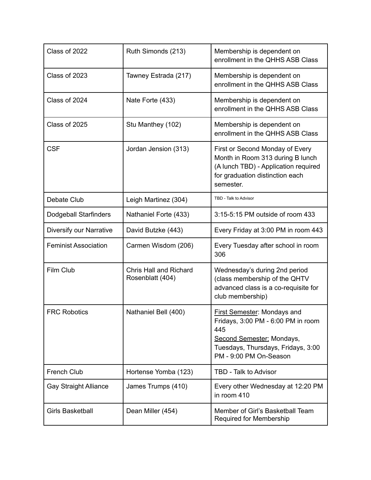| Class of 2022                | Ruth Simonds (213)                                | Membership is dependent on<br>enrollment in the QHHS ASB Class                                                                                                               |
|------------------------------|---------------------------------------------------|------------------------------------------------------------------------------------------------------------------------------------------------------------------------------|
| Class of 2023                | Tawney Estrada (217)                              | Membership is dependent on<br>enrollment in the QHHS ASB Class                                                                                                               |
| Class of 2024                | Nate Forte (433)                                  | Membership is dependent on<br>enrollment in the QHHS ASB Class                                                                                                               |
| Class of 2025                | Stu Manthey (102)                                 | Membership is dependent on<br>enrollment in the QHHS ASB Class                                                                                                               |
| <b>CSF</b>                   | Jordan Jension (313)                              | First or Second Monday of Every<br>Month in Room 313 during B lunch<br>(A lunch TBD) - Application required<br>for graduation distinction each<br>semester.                  |
| Debate Club                  | Leigh Martinez (304)                              | TBD - Talk to Advisor                                                                                                                                                        |
| <b>Dodgeball Starfinders</b> | Nathaniel Forte (433)                             | 3:15-5:15 PM outside of room 433                                                                                                                                             |
| Diversify our Narrative      | David Butzke (443)                                | Every Friday at 3:00 PM in room 443                                                                                                                                          |
| <b>Feminist Association</b>  | Carmen Wisdom (206)                               | Every Tuesday after school in room<br>306                                                                                                                                    |
| Film Club                    | <b>Chris Hall and Richard</b><br>Rosenblatt (404) | Wednesday's during 2nd period<br>(class membership of the QHTV<br>advanced class is a co-requisite for<br>club membership)                                                   |
| <b>FRC Robotics</b>          | Nathaniel Bell (400)                              | <b>First Semester: Mondays and</b><br>Fridays, 3:00 PM - 6:00 PM in room<br>445<br>Second Semester: Mondays,<br>Tuesdays, Thursdays, Fridays, 3:00<br>PM - 9:00 PM On-Season |
| <b>French Club</b>           | Hortense Yomba (123)                              | TBD - Talk to Advisor                                                                                                                                                        |
| <b>Gay Straight Alliance</b> | James Trumps (410)                                | Every other Wednesday at 12:20 PM<br>in room 410                                                                                                                             |
| <b>Girls Basketball</b>      | Dean Miller (454)                                 | Member of Girl's Basketball Team<br>Required for Membership                                                                                                                  |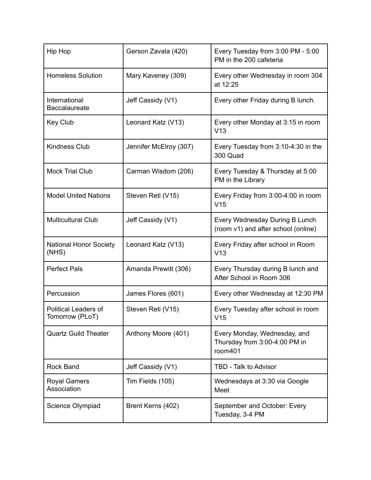| <b>Hip Hop</b>                                 | Gerson Zavala (420)    | Every Tuesday from 3:00 PM - 5:00<br>PM in the 200 cafeteria             |
|------------------------------------------------|------------------------|--------------------------------------------------------------------------|
| <b>Homeless Solution</b>                       | Mary Kaveney (309)     | Every other Wednesday in room 304<br>at 12:25                            |
| International<br><b>Baccalaureate</b>          | Jeff Cassidy (V1)      | Every other Friday during B lunch.                                       |
| Key Club                                       | Leonard Katz (V13)     | Every other Monday at 3:15 in room<br>V <sub>13</sub>                    |
| <b>Kindness Club</b>                           | Jennifer McElroy (307) | Every Tuesday from 3:10-4:30 in the<br>300 Quad                          |
| <b>Mock Trial Club</b>                         | Carman Wisdom (206)    | Every Tuesday & Thursday at 5:00<br>PM in the Library                    |
| <b>Model United Nations</b>                    | Steven Reti (V15)      | Every Friday from 3:00-4:00 in room<br>V <sub>15</sub>                   |
| <b>Multicultural Club</b>                      | Jeff Cassidy (V1)      | Every Wednesday During B Lunch<br>(room v1) and after school (online)    |
| <b>National Honor Society</b><br>(NHS)         | Leonard Katz (V13)     | Every Friday after school in Room<br>V13                                 |
| <b>Perfect Pals</b>                            | Amanda Prewitt (306)   | Every Thursday during B lunch and<br>After School in Room 306            |
| Percussion                                     | James Flores (601)     | Every other Wednesday at 12:30 PM                                        |
| <b>Political Leaders of</b><br>Tomorrow (PLoT) | Steven Reti (V15)      | Every Tuesday after school in room<br>V15                                |
| <b>Quartz Guild Theater</b>                    | Anthony Moore (401)    | Every Monday, Wednesday, and<br>Thursday from 3:00-4:00 PM in<br>room401 |
| <b>Rock Band</b>                               | Jeff Cassidy (V1)      | TBD - Talk to Advisor                                                    |
| <b>Royal Gamers</b><br>Association             | Tim Fields (105)       | Wednesdays at 3:30 via Google<br>Meet                                    |
| Science Olympiad                               | Brent Kerns (402)      | September and October: Every<br>Tuesday, 3-4 PM                          |